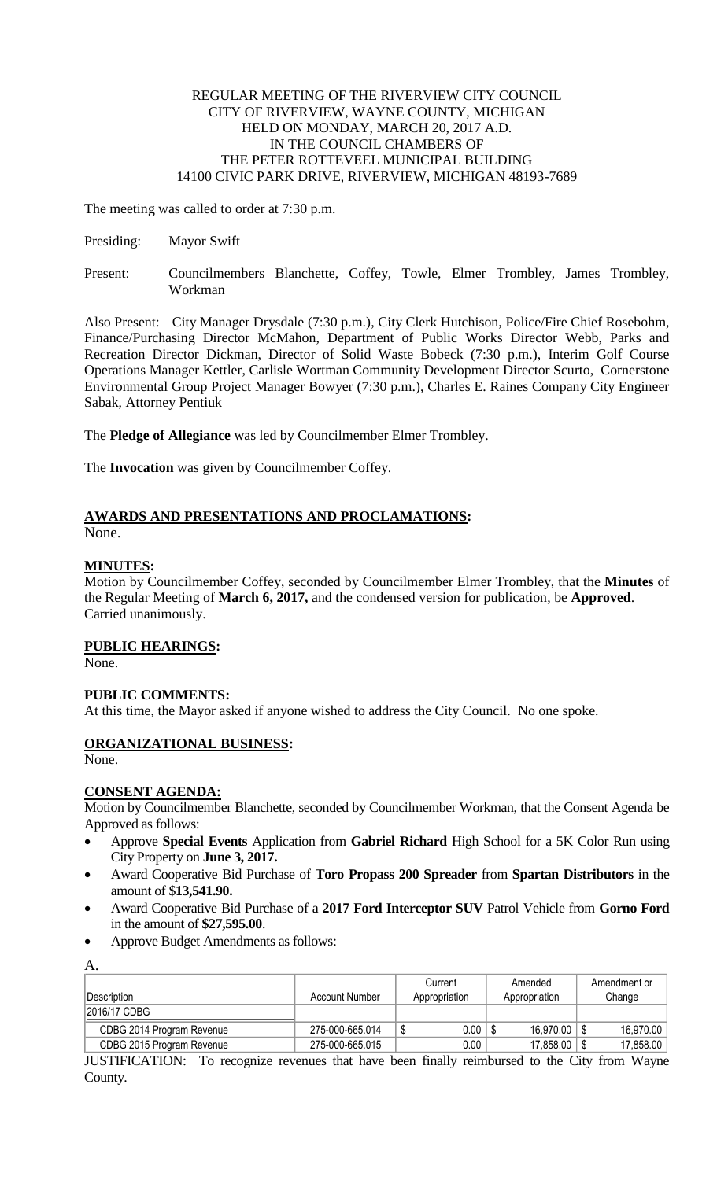## REGULAR MEETING OF THE RIVERVIEW CITY COUNCIL CITY OF RIVERVIEW, WAYNE COUNTY, MICHIGAN HELD ON MONDAY, MARCH 20, 2017 A.D. IN THE COUNCIL CHAMBERS OF THE PETER ROTTEVEEL MUNICIPAL BUILDING 14100 CIVIC PARK DRIVE, RIVERVIEW, MICHIGAN 48193-7689

The meeting was called to order at 7:30 p.m.

- Presiding: Mayor Swift
- Present: Councilmembers Blanchette, Coffey, Towle, Elmer Trombley, James Trombley, Workman

Also Present: City Manager Drysdale (7:30 p.m.), City Clerk Hutchison, Police/Fire Chief Rosebohm, Finance/Purchasing Director McMahon, Department of Public Works Director Webb, Parks and Recreation Director Dickman, Director of Solid Waste Bobeck (7:30 p.m.), Interim Golf Course Operations Manager Kettler, Carlisle Wortman Community Development Director Scurto, Cornerstone Environmental Group Project Manager Bowyer (7:30 p.m.), Charles E. Raines Company City Engineer Sabak, Attorney Pentiuk

The **Pledge of Allegiance** was led by Councilmember Elmer Trombley.

The **Invocation** was given by Councilmember Coffey.

# **AWARDS AND PRESENTATIONS AND PROCLAMATIONS:**

None.

# **MINUTES:**

Motion by Councilmember Coffey, seconded by Councilmember Elmer Trombley, that the **Minutes** of the Regular Meeting of **March 6, 2017,** and the condensed version for publication, be **Approved**. Carried unanimously.

# **PUBLIC HEARINGS:**

None.

# **PUBLIC COMMENTS:**

At this time, the Mayor asked if anyone wished to address the City Council. No one spoke.

# **ORGANIZATIONAL BUSINESS:**

None.

# **CONSENT AGENDA:**

Motion by Councilmember Blanchette, seconded by Councilmember Workman, that the Consent Agenda be Approved as follows:

- Approve **Special Events** Application from **Gabriel Richard** High School for a 5K Color Run using City Property on **June 3, 2017.**
- Award Cooperative Bid Purchase of **Toro Propass 200 Spreader** from **Spartan Distributors** in the amount of \$**13,541.90.**
- Award Cooperative Bid Purchase of a **2017 Ford Interceptor SUV** Patrol Vehicle from **Gorno Ford** in the amount of **\$27,595.00**.
- Approve Budget Amendments as follows:

|  | $\sim$ |
|--|--------|

|                           |                 | Current              | Amended       | Amendment or |
|---------------------------|-----------------|----------------------|---------------|--------------|
| ∣Description i            | Account Number  | Appropriation        | Appropriation | Change       |
| 2016/17 CDBG              |                 |                      |               |              |
| CDBG 2014 Program Revenue | 275-000-665.014 | $0.00$ $\vert$<br>\$ | $16.970.00$ S | 16.970.00    |
| CDBG 2015 Program Revenue | 275-000-665.015 | $0.00\,$             | 17,858.00     | 17.858.00    |

JUSTIFICATION: To recognize revenues that have been finally reimbursed to the City from Wayne County.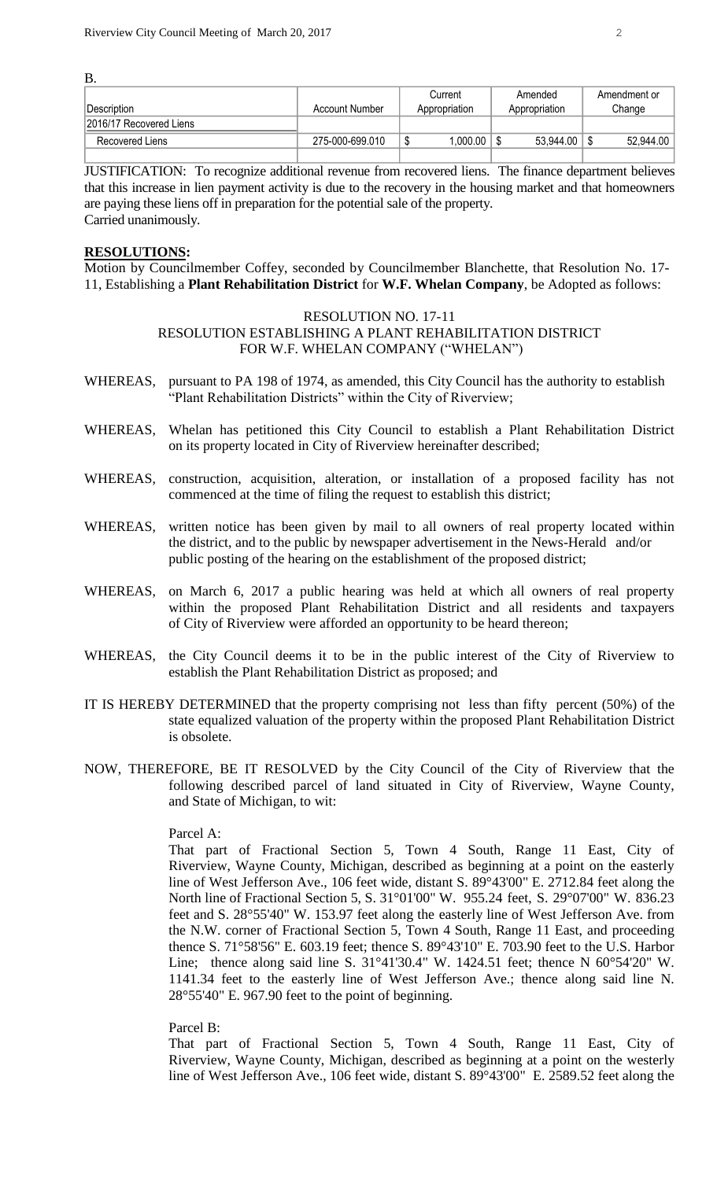B.

|                         |                 | Current       | Amended       | Amendment or |
|-------------------------|-----------------|---------------|---------------|--------------|
| Description             | Account Number  | Appropriation | Appropriation | Change       |
| 2016/17 Recovered Liens |                 |               |               |              |
| Recovered Liens         | 275-000-699.010 | .000.00       | 53.944.00     | 52,944.00    |
|                         |                 |               |               |              |

JUSTIFICATION: To recognize additional revenue from recovered liens. The finance department believes that this increase in lien payment activity is due to the recovery in the housing market and that homeowners are paying these liens off in preparation for the potential sale of the property. Carried unanimously.

## **RESOLUTIONS:**

Motion by Councilmember Coffey, seconded by Councilmember Blanchette, that Resolution No. 17- 11, Establishing a **Plant Rehabilitation District** for **W.F. Whelan Company**, be Adopted as follows:

## RESOLUTION NO. 17-11 RESOLUTION ESTABLISHING A PLANT REHABILITATION DISTRICT FOR W.F. WHELAN COMPANY ("WHELAN")

- WHEREAS, pursuant to PA 198 of 1974, as amended, this City Council has the authority to establish "Plant Rehabilitation Districts" within the City of Riverview;
- WHEREAS, Whelan has petitioned this City Council to establish a Plant Rehabilitation District on its property located in City of Riverview hereinafter described;
- WHEREAS, construction, acquisition, alteration, or installation of a proposed facility has not commenced at the time of filing the request to establish this district;
- WHEREAS, written notice has been given by mail to all owners of real property located within the district, and to the public by newspaper advertisement in the News-Herald and/or public posting of the hearing on the establishment of the proposed district;
- WHEREAS, on March 6, 2017 a public hearing was held at which all owners of real property within the proposed Plant Rehabilitation District and all residents and taxpayers of City of Riverview were afforded an opportunity to be heard thereon;
- WHEREAS, the City Council deems it to be in the public interest of the City of Riverview to establish the Plant Rehabilitation District as proposed; and
- IT IS HEREBY DETERMINED that the property comprising not less than fifty percent (50%) of the state equalized valuation of the property within the proposed Plant Rehabilitation District is obsolete.
- NOW, THEREFORE, BE IT RESOLVED by the City Council of the City of Riverview that the following described parcel of land situated in City of Riverview, Wayne County, and State of Michigan, to wit:

# Parcel A:

That part of Fractional Section 5, Town 4 South, Range 11 East, City of Riverview, Wayne County, Michigan, described as beginning at a point on the easterly line of West Jefferson Ave., 106 feet wide, distant S. 89°43'00" E. 2712.84 feet along the North line of Fractional Section 5, S. 31°01'00" W. 955.24 feet, S. 29°07'00" W. 836.23 feet and S. 28°55'40" W. 153.97 feet along the easterly line of West Jefferson Ave. from the N.W. corner of Fractional Section 5, Town 4 South, Range 11 East, and proceeding thence S. 71°58'56" E. 603.19 feet; thence S. 89°43'10" E. 703.90 feet to the U.S. Harbor Line; thence along said line S. 31°41'30.4" W. 1424.51 feet; thence N 60°54'20" W. 1141.34 feet to the easterly line of West Jefferson Ave.; thence along said line N. 28°55'40" E. 967.90 feet to the point of beginning.

## Parcel B:

That part of Fractional Section 5, Town 4 South, Range 11 East, City of Riverview, Wayne County, Michigan, described as beginning at a point on the westerly line of West Jefferson Ave., 106 feet wide, distant S. 89°43'00" E. 2589.52 feet along the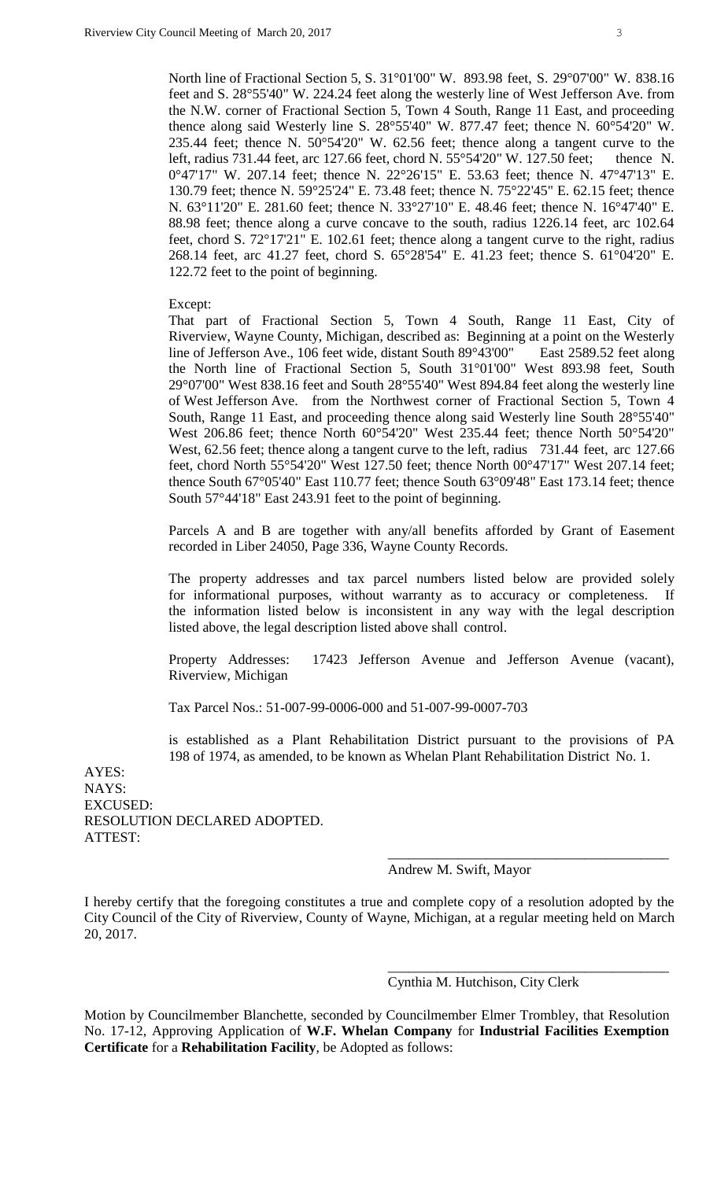North line of Fractional Section 5, S. 31°01'00" W. 893.98 feet, S. 29°07'00" W. 838.16 feet and S. 28°55'40" W. 224.24 feet along the westerly line of West Jefferson Ave. from the N.W. corner of Fractional Section 5, Town 4 South, Range 11 East, and proceeding thence along said Westerly line S. 28°55'40" W. 877.47 feet; thence N. 60°54'20" W. 235.44 feet; thence N. 50°54'20" W. 62.56 feet; thence along a tangent curve to the left, radius 731.44 feet, arc 127.66 feet, chord N. 55°54'20" W. 127.50 feet; thence N. 0°47'17" W. 207.14 feet; thence N. 22°26'15" E. 53.63 feet; thence N. 47°47'13" E. 130.79 feet; thence N. 59°25'24" E. 73.48 feet; thence N. 75°22'45" E. 62.15 feet; thence N. 63°11'20" E. 281.60 feet; thence N. 33°27'10" E. 48.46 feet; thence N. 16°47'40" E. 88.98 feet; thence along a curve concave to the south, radius 1226.14 feet, arc 102.64 feet, chord S. 72°17'21" E. 102.61 feet; thence along a tangent curve to the right, radius 268.14 feet, arc 41.27 feet, chord S. 65°28'54" E. 41.23 feet; thence S. 61°04'20" E. 122.72 feet to the point of beginning.

Except:

That part of Fractional Section 5, Town 4 South, Range 11 East, City of Riverview, Wayne County, Michigan, described as: Beginning at a point on the Westerly line of Jefferson Ave., 106 feet wide, distant South 89°43'00" East 2589.52 feet along the North line of Fractional Section 5, South 31°01'00" West 893.98 feet, South 29°07'00" West 838.16 feet and South 28°55'40" West 894.84 feet along the westerly line of West Jefferson Ave. from the Northwest corner of Fractional Section 5, Town 4 South, Range 11 East, and proceeding thence along said Westerly line South 28°55'40" West 206.86 feet; thence North 60°54'20" West 235.44 feet; thence North 50°54'20" West, 62.56 feet; thence along a tangent curve to the left, radius 731.44 feet, arc 127.66 feet, chord North 55°54'20" West 127.50 feet; thence North 00°47'17" West 207.14 feet; thence South 67°05'40" East 110.77 feet; thence South 63°09'48" East 173.14 feet; thence South 57°44'18" East 243.91 feet to the point of beginning.

Parcels A and B are together with any/all benefits afforded by Grant of Easement recorded in Liber 24050, Page 336, Wayne County Records.

The property addresses and tax parcel numbers listed below are provided solely for informational purposes, without warranty as to accuracy or completeness. If the information listed below is inconsistent in any way with the legal description listed above, the legal description listed above shall control.

Property Addresses: 17423 Jefferson Avenue and Jefferson Avenue (vacant), Riverview, Michigan

Tax Parcel Nos.: 51-007-99-0006-000 and 51-007-99-0007-703

is established as a Plant Rehabilitation District pursuant to the provisions of PA 198 of 1974, as amended, to be known as Whelan Plant Rehabilitation District No. 1.

AYES: NAYS: EXCUSED: RESOLUTION DECLARED ADOPTED. ATTEST:

#### Andrew M. Swift, Mayor

I hereby certify that the foregoing constitutes a true and complete copy of a resolution adopted by the City Council of the City of Riverview, County of Wayne, Michigan, at a regular meeting held on March 20, 2017.

#### Cynthia M. Hutchison, City Clerk

\_\_\_\_\_\_\_\_\_\_\_\_\_\_\_\_\_\_\_\_\_\_\_\_\_\_\_\_\_\_\_\_\_\_\_\_\_\_\_\_

\_\_\_\_\_\_\_\_\_\_\_\_\_\_\_\_\_\_\_\_\_\_\_\_\_\_\_\_\_\_\_\_\_\_\_\_\_\_\_\_

Motion by Councilmember Blanchette, seconded by Councilmember Elmer Trombley, that Resolution No. 17-12, Approving Application of **W.F. Whelan Company** for **Industrial Facilities Exemption Certificate** for a **Rehabilitation Facility**, be Adopted as follows: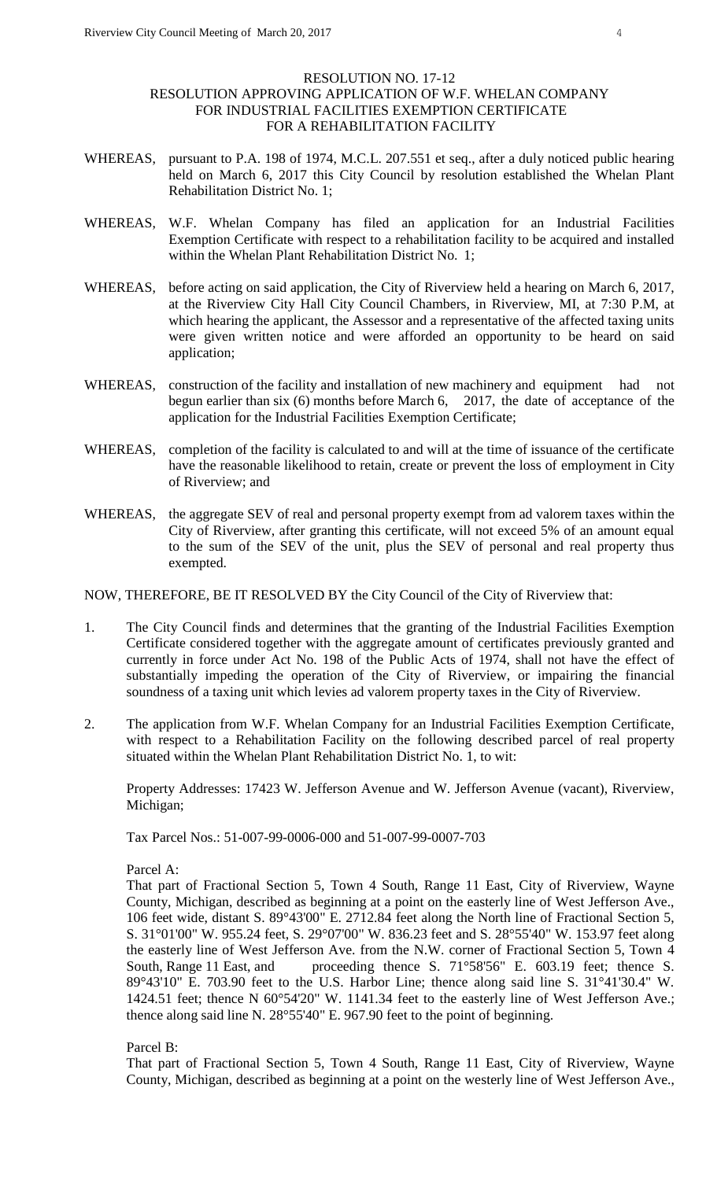## RESOLUTION NO. 17-12 RESOLUTION APPROVING APPLICATION OF W.F. WHELAN COMPANY FOR INDUSTRIAL FACILITIES EXEMPTION CERTIFICATE FOR A REHABILITATION FACILITY

- WHEREAS, pursuant to P.A. 198 of 1974, M.C.L. 207.551 et seq., after a duly noticed public hearing held on March 6, 2017 this City Council by resolution established the Whelan Plant Rehabilitation District No. 1;
- WHEREAS, W.F. Whelan Company has filed an application for an Industrial Facilities Exemption Certificate with respect to a rehabilitation facility to be acquired and installed within the Whelan Plant Rehabilitation District No. 1;
- WHEREAS, before acting on said application, the City of Riverview held a hearing on March 6, 2017, at the Riverview City Hall City Council Chambers, in Riverview, MI, at 7:30 P.M, at which hearing the applicant, the Assessor and a representative of the affected taxing units were given written notice and were afforded an opportunity to be heard on said application;
- WHEREAS, construction of the facility and installation of new machinery and equipment had not begun earlier than six (6) months before March 6, 2017, the date of acceptance of the application for the Industrial Facilities Exemption Certificate;
- WHEREAS, completion of the facility is calculated to and will at the time of issuance of the certificate have the reasonable likelihood to retain, create or prevent the loss of employment in City of Riverview; and
- WHEREAS, the aggregate SEV of real and personal property exempt from ad valorem taxes within the City of Riverview, after granting this certificate, will not exceed 5% of an amount equal to the sum of the SEV of the unit, plus the SEV of personal and real property thus exempted.

NOW, THEREFORE, BE IT RESOLVED BY the City Council of the City of Riverview that:

- 1. The City Council finds and determines that the granting of the Industrial Facilities Exemption Certificate considered together with the aggregate amount of certificates previously granted and currently in force under Act No. 198 of the Public Acts of 1974, shall not have the effect of substantially impeding the operation of the City of Riverview, or impairing the financial soundness of a taxing unit which levies ad valorem property taxes in the City of Riverview.
- 2. The application from W.F. Whelan Company for an Industrial Facilities Exemption Certificate, with respect to a Rehabilitation Facility on the following described parcel of real property situated within the Whelan Plant Rehabilitation District No. 1, to wit:

Property Addresses: 17423 W. Jefferson Avenue and W. Jefferson Avenue (vacant), Riverview, Michigan;

Tax Parcel Nos.: 51-007-99-0006-000 and 51-007-99-0007-703

## Parcel A:

That part of Fractional Section 5, Town 4 South, Range 11 East, City of Riverview, Wayne County, Michigan, described as beginning at a point on the easterly line of West Jefferson Ave., 106 feet wide, distant S. 89°43'00" E. 2712.84 feet along the North line of Fractional Section 5, S. 31°01'00" W. 955.24 feet, S. 29°07'00" W. 836.23 feet and S. 28°55'40" W. 153.97 feet along the easterly line of West Jefferson Ave. from the N.W. corner of Fractional Section 5, Town 4 South, Range 11 East, and proceeding thence S. 71°58'56" E. 603.19 feet; thence S. 89°43'10" E. 703.90 feet to the U.S. Harbor Line; thence along said line S. 31°41'30.4" W. 1424.51 feet; thence N 60°54'20" W. 1141.34 feet to the easterly line of West Jefferson Ave.; thence along said line N. 28°55'40" E. 967.90 feet to the point of beginning.

## Parcel B:

That part of Fractional Section 5, Town 4 South, Range 11 East, City of Riverview, Wayne County, Michigan, described as beginning at a point on the westerly line of West Jefferson Ave.,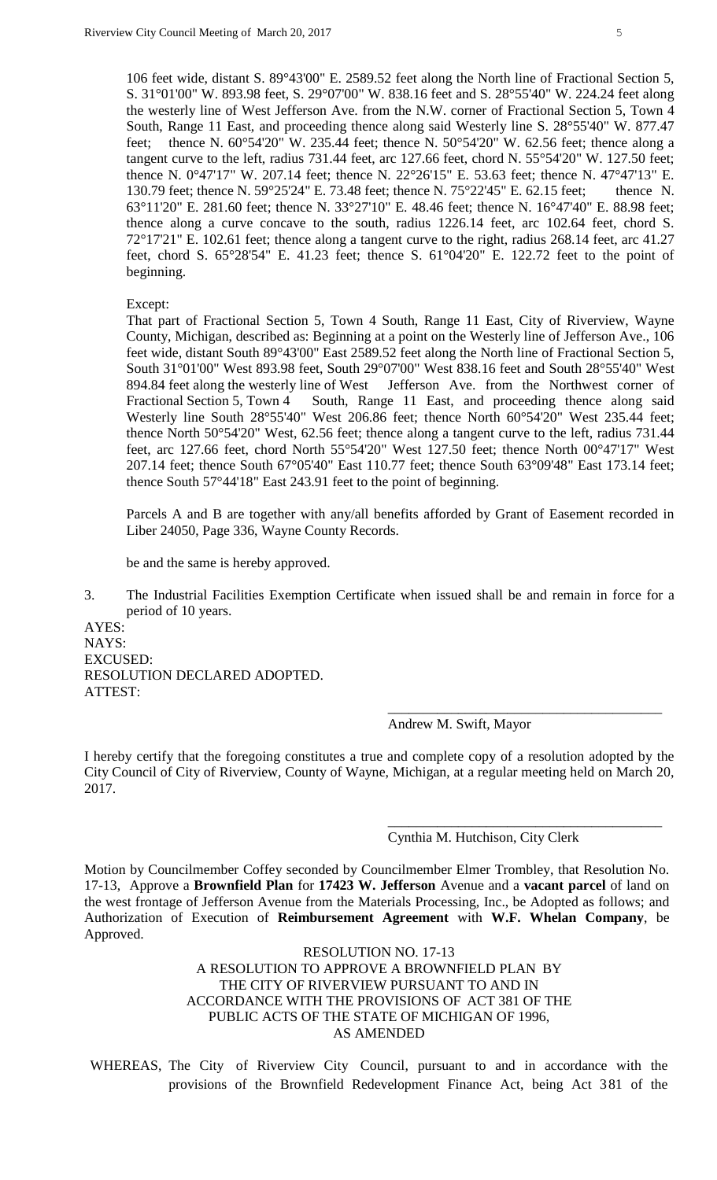106 feet wide, distant S. 89°43'00" E. 2589.52 feet along the North line of Fractional Section 5, S. 31°01'00" W. 893.98 feet, S. 29°07'00" W. 838.16 feet and S. 28°55'40" W. 224.24 feet along the westerly line of West Jefferson Ave. from the N.W. corner of Fractional Section 5, Town 4 South, Range 11 East, and proceeding thence along said Westerly line S. 28°55'40" W. 877.47 feet; thence N. 60°54'20" W. 235.44 feet; thence N. 50°54'20" W. 62.56 feet; thence along a tangent curve to the left, radius 731.44 feet, arc 127.66 feet, chord N. 55°54'20" W. 127.50 feet; thence N. 0°47'17" W. 207.14 feet; thence N. 22°26'15" E. 53.63 feet; thence N. 47°47'13" E. 130.79 feet; thence N. 59°25'24" E. 73.48 feet; thence N. 75°22'45" E. 62.15 feet; thence N. 63°11'20" E. 281.60 feet; thence N. 33°27'10" E. 48.46 feet; thence N. 16°47'40" E. 88.98 feet; thence along a curve concave to the south, radius 1226.14 feet, arc 102.64 feet, chord S. 72°17'21" E. 102.61 feet; thence along a tangent curve to the right, radius 268.14 feet, arc 41.27 feet, chord S. 65°28'54" E. 41.23 feet; thence S. 61°04'20" E. 122.72 feet to the point of beginning.

#### Except:

That part of Fractional Section 5, Town 4 South, Range 11 East, City of Riverview, Wayne County, Michigan, described as: Beginning at a point on the Westerly line of Jefferson Ave., 106 feet wide, distant South 89°43'00" East 2589.52 feet along the North line of Fractional Section 5, South 31°01'00" West 893.98 feet, South 29°07'00" West 838.16 feet and South 28°55'40" West 894.84 feet along the westerly line of West Jefferson Ave. from the Northwest corner of Fractional Section 5, Town 4 South, Range 11 East, and proceeding thence along said Westerly line South 28°55'40" West 206.86 feet; thence North 60°54'20" West 235.44 feet; thence North 50°54'20" West, 62.56 feet; thence along a tangent curve to the left, radius 731.44 feet, arc 127.66 feet, chord North 55°54'20" West 127.50 feet; thence North 00°47'17" West 207.14 feet; thence South 67°05'40" East 110.77 feet; thence South 63°09'48" East 173.14 feet; thence South 57°44'18" East 243.91 feet to the point of beginning.

Parcels A and B are together with any/all benefits afforded by Grant of Easement recorded in Liber 24050, Page 336, Wayne County Records.

be and the same is hereby approved.

3. The Industrial Facilities Exemption Certificate when issued shall be and remain in force for a period of 10 years.

AYES: NAYS: EXCUSED: RESOLUTION DECLARED ADOPTED. ATTEST:

Andrew M. Swift, Mayor

I hereby certify that the foregoing constitutes a true and complete copy of a resolution adopted by the City Council of City of Riverview, County of Wayne, Michigan, at a regular meeting held on March 20, 2017.

Cynthia M. Hutchison, City Clerk

\_\_\_\_\_\_\_\_\_\_\_\_\_\_\_\_\_\_\_\_\_\_\_\_\_\_\_\_\_\_\_\_\_\_\_\_\_\_\_

\_\_\_\_\_\_\_\_\_\_\_\_\_\_\_\_\_\_\_\_\_\_\_\_\_\_\_\_\_\_\_\_\_\_\_\_\_\_\_

Motion by Councilmember Coffey seconded by Councilmember Elmer Trombley, that Resolution No. 17-13, Approve a **Brownfield Plan** for **17423 W. Jefferson** Avenue and a **vacant parcel** of land on the west frontage of Jefferson Avenue from the Materials Processing, Inc., be Adopted as follows; and Authorization of Execution of **Reimbursement Agreement** with **W.F. Whelan Company**, be Approved.

> RESOLUTION NO. 17-13 A RESOLUTION TO APPROVE A BROWNFIELD PLAN BY THE CITY OF RIVERVIEW PURSUANT TO AND IN ACCORDANCE WITH THE PROVISIONS OF ACT 381 OF THE PUBLIC ACTS OF THE STATE OF MICHIGAN OF 1996, AS AMENDED

WHEREAS, The City of Riverview City Council, pursuant to and in accordance with the provisions of the Brownfield Redevelopment Finance Act, being Act 381 of the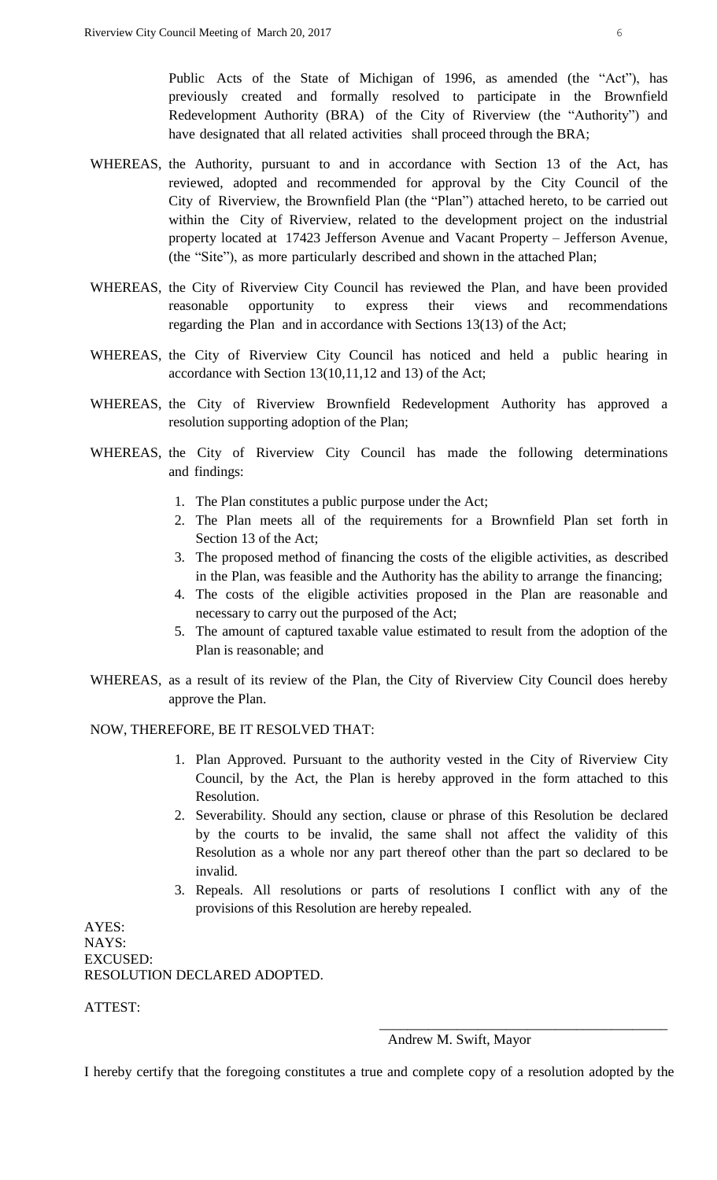Public Acts of the State of Michigan of 1996, as amended (the "Act"), has previously created and formally resolved to participate in the Brownfield Redevelopment Authority (BRA) of the City of Riverview (the "Authority") and have designated that all related activities shall proceed through the BRA;

- WHEREAS, the Authority, pursuant to and in accordance with Section 13 of the Act, has reviewed, adopted and recommended for approval by the City Council of the City of Riverview, the Brownfield Plan (the "Plan") attached hereto, to be carried out within the City of Riverview, related to the development project on the industrial property located at 17423 Jefferson Avenue and Vacant Property – Jefferson Avenue, (the "Site"), as more particularly described and shown in the attached Plan;
- WHEREAS, the City of Riverview City Council has reviewed the Plan, and have been provided reasonable opportunity to express their views and recommendations regarding the Plan and in accordance with Sections 13(13) of the Act;
- WHEREAS, the City of Riverview City Council has noticed and held a public hearing in accordance with Section 13(10,11,12 and 13) of the Act;
- WHEREAS, the City of Riverview Brownfield Redevelopment Authority has approved a resolution supporting adoption of the Plan;
- WHEREAS, the City of Riverview City Council has made the following determinations and findings:
	- 1. The Plan constitutes a public purpose under the Act;
	- 2. The Plan meets all of the requirements for a Brownfield Plan set forth in Section 13 of the Act;
	- 3. The proposed method of financing the costs of the eligible activities, as described in the Plan, was feasible and the Authority has the ability to arrange the financing;
	- 4. The costs of the eligible activities proposed in the Plan are reasonable and necessary to carry out the purposed of the Act;
	- 5. The amount of captured taxable value estimated to result from the adoption of the Plan is reasonable; and
- WHEREAS, as a result of its review of the Plan, the City of Riverview City Council does hereby approve the Plan.

## NOW, THEREFORE, BE IT RESOLVED THAT:

- 1. Plan Approved. Pursuant to the authority vested in the City of Riverview City Council, by the Act, the Plan is hereby approved in the form attached to this Resolution.
- 2. Severability. Should any section, clause or phrase of this Resolution be declared by the courts to be invalid, the same shall not affect the validity of this Resolution as a whole nor any part thereof other than the part so declared to be invalid.
- 3. Repeals. All resolutions or parts of resolutions I conflict with any of the provisions of this Resolution are hereby repealed.

AYES: NAYS: EXCUSED: RESOLUTION DECLARED ADOPTED.

ATTEST:

#### Andrew M. Swift, Mayor

\_\_\_\_\_\_\_\_\_\_\_\_\_\_\_\_\_\_\_\_\_\_\_\_\_\_\_\_\_\_\_\_\_\_\_\_\_\_\_\_\_

I hereby certify that the foregoing constitutes a true and complete copy of a resolution adopted by the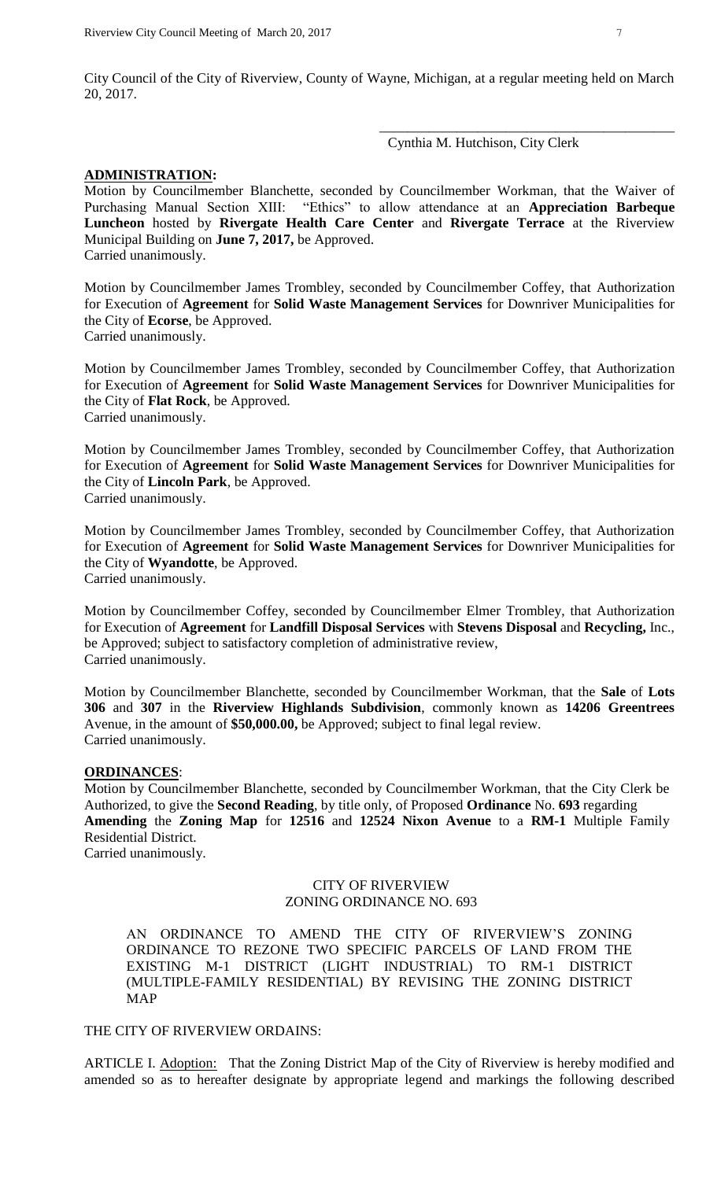City Council of the City of Riverview, County of Wayne, Michigan, at a regular meeting held on March 20, 2017.

Cynthia M. Hutchison, City Clerk

\_\_\_\_\_\_\_\_\_\_\_\_\_\_\_\_\_\_\_\_\_\_\_\_\_\_\_\_\_\_\_\_\_\_\_\_\_\_\_\_\_\_

#### **ADMINISTRATION:**

Motion by Councilmember Blanchette, seconded by Councilmember Workman, that the Waiver of Purchasing Manual Section XIII: "Ethics" to allow attendance at an **Appreciation Barbeque Luncheon** hosted by **Rivergate Health Care Center** and **Rivergate Terrace** at the Riverview Municipal Building on **June 7, 2017,** be Approved. Carried unanimously.

Motion by Councilmember James Trombley, seconded by Councilmember Coffey, that Authorization for Execution of **Agreement** for **Solid Waste Management Services** for Downriver Municipalities for the City of **Ecorse**, be Approved. Carried unanimously.

Motion by Councilmember James Trombley, seconded by Councilmember Coffey, that Authorization for Execution of **Agreement** for **Solid Waste Management Services** for Downriver Municipalities for the City of **Flat Rock**, be Approved. Carried unanimously.

Motion by Councilmember James Trombley, seconded by Councilmember Coffey, that Authorization for Execution of **Agreement** for **Solid Waste Management Services** for Downriver Municipalities for the City of **Lincoln Park**, be Approved. Carried unanimously.

Motion by Councilmember James Trombley, seconded by Councilmember Coffey, that Authorization for Execution of **Agreement** for **Solid Waste Management Services** for Downriver Municipalities for the City of **Wyandotte**, be Approved.

Carried unanimously.

Motion by Councilmember Coffey, seconded by Councilmember Elmer Trombley, that Authorization for Execution of **Agreement** for **Landfill Disposal Services** with **Stevens Disposal** and **Recycling,** Inc., be Approved; subject to satisfactory completion of administrative review, Carried unanimously.

Motion by Councilmember Blanchette, seconded by Councilmember Workman, that the **Sale** of **Lots 306** and **307** in the **Riverview Highlands Subdivision**, commonly known as **14206 Greentrees** Avenue, in the amount of **\$50,000.00,** be Approved; subject to final legal review. Carried unanimously.

## **ORDINANCES**:

Motion by Councilmember Blanchette, seconded by Councilmember Workman, that the City Clerk be Authorized, to give the **Second Reading**, by title only, of Proposed **Ordinance** No. **693** regarding **Amending** the **Zoning Map** for **12516** and **12524 Nixon Avenue** to a **RM-1** Multiple Family Residential District. Carried unanimously.

## CITY OF RIVERVIEW ZONING ORDINANCE NO. 693

AN ORDINANCE TO AMEND THE CITY OF RIVERVIEW'S ZONING ORDINANCE TO REZONE TWO SPECIFIC PARCELS OF LAND FROM THE EXISTING M-1 DISTRICT (LIGHT INDUSTRIAL) TO RM-1 DISTRICT (MULTIPLE-FAMILY RESIDENTIAL) BY REVISING THE ZONING DISTRICT MAP

#### THE CITY OF RIVERVIEW ORDAINS:

ARTICLE I. Adoption: That the Zoning District Map of the City of Riverview is hereby modified and amended so as to hereafter designate by appropriate legend and markings the following described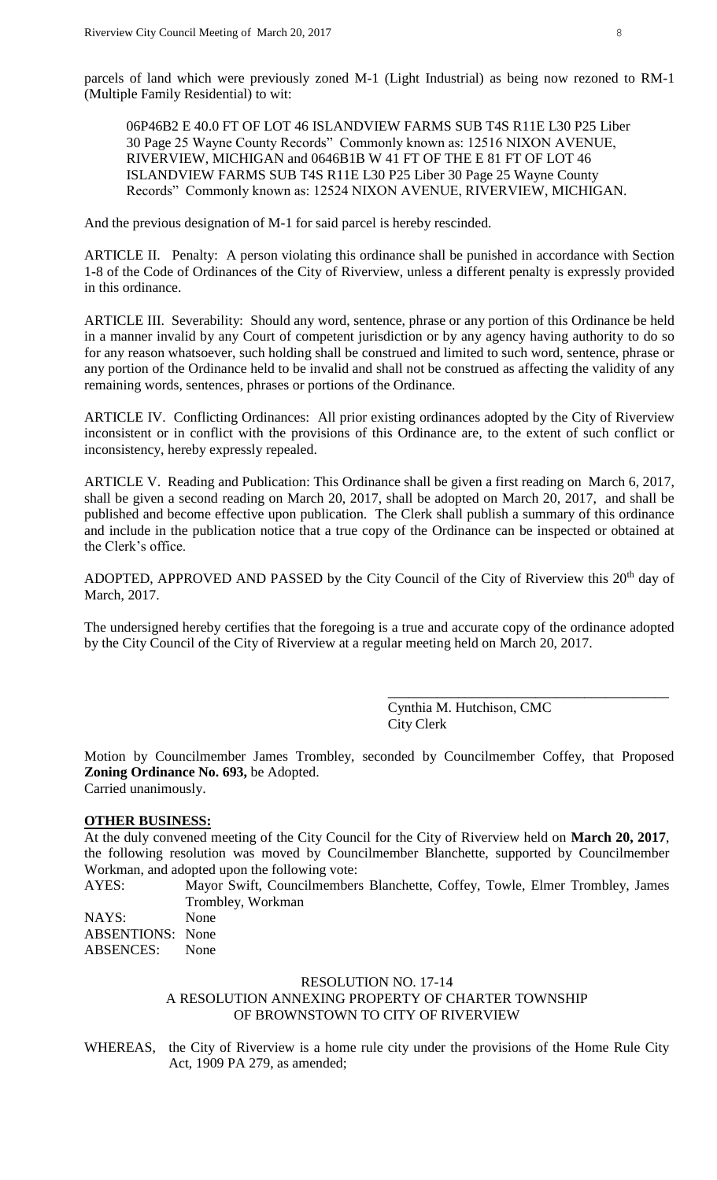parcels of land which were previously zoned M-1 (Light Industrial) as being now rezoned to RM-1 (Multiple Family Residential) to wit:

06P46B2 E 40.0 FT OF LOT 46 ISLANDVIEW FARMS SUB T4S R11E L30 P25 Liber 30 Page 25 Wayne County Records" Commonly known as: 12516 NIXON AVENUE, RIVERVIEW, MICHIGAN and 0646B1B W 41 FT OF THE E 81 FT OF LOT 46 ISLANDVIEW FARMS SUB T4S R11E L30 P25 Liber 30 Page 25 Wayne County Records" Commonly known as: 12524 NIXON AVENUE, RIVERVIEW, MICHIGAN.

And the previous designation of M-1 for said parcel is hereby rescinded.

ARTICLE II. Penalty: A person violating this ordinance shall be punished in accordance with Section 1-8 of the Code of Ordinances of the City of Riverview, unless a different penalty is expressly provided in this ordinance.

ARTICLE III. Severability: Should any word, sentence, phrase or any portion of this Ordinance be held in a manner invalid by any Court of competent jurisdiction or by any agency having authority to do so for any reason whatsoever, such holding shall be construed and limited to such word, sentence, phrase or any portion of the Ordinance held to be invalid and shall not be construed as affecting the validity of any remaining words, sentences, phrases or portions of the Ordinance.

ARTICLE IV. Conflicting Ordinances: All prior existing ordinances adopted by the City of Riverview inconsistent or in conflict with the provisions of this Ordinance are, to the extent of such conflict or inconsistency, hereby expressly repealed.

ARTICLE V. Reading and Publication: This Ordinance shall be given a first reading on March 6, 2017, shall be given a second reading on March 20, 2017, shall be adopted on March 20, 2017, and shall be published and become effective upon publication. The Clerk shall publish a summary of this ordinance and include in the publication notice that a true copy of the Ordinance can be inspected or obtained at the Clerk's office.

ADOPTED, APPROVED AND PASSED by the City Council of the City of Riverview this 20<sup>th</sup> day of March, 2017.

The undersigned hereby certifies that the foregoing is a true and accurate copy of the ordinance adopted by the City Council of the City of Riverview at a regular meeting held on March 20, 2017.

> Cynthia M. Hutchison, CMC City Clerk

\_\_\_\_\_\_\_\_\_\_\_\_\_\_\_\_\_\_\_\_\_\_\_\_\_\_\_\_\_\_\_\_\_\_\_\_\_\_\_\_

Motion by Councilmember James Trombley, seconded by Councilmember Coffey, that Proposed **Zoning Ordinance No. 693,** be Adopted. Carried unanimously.

## **OTHER BUSINESS:**

At the duly convened meeting of the City Council for the City of Riverview held on **March 20, 2017**, the following resolution was moved by Councilmember Blanchette, supported by Councilmember Workman, and adopted upon the following vote:

AYES: Mayor Swift, Councilmembers Blanchette, Coffey, Towle, Elmer Trombley, James Trombley, Workman

| None                    |
|-------------------------|
| <b>ABSENTIONS:</b> None |
| None                    |
|                         |

#### RESOLUTION NO. 17-14

A RESOLUTION ANNEXING PROPERTY OF CHARTER TOWNSHIP OF BROWNSTOWN TO CITY OF RIVERVIEW

WHEREAS, the City of Riverview is a home rule city under the provisions of the Home Rule City Act, 1909 PA 279, as amended;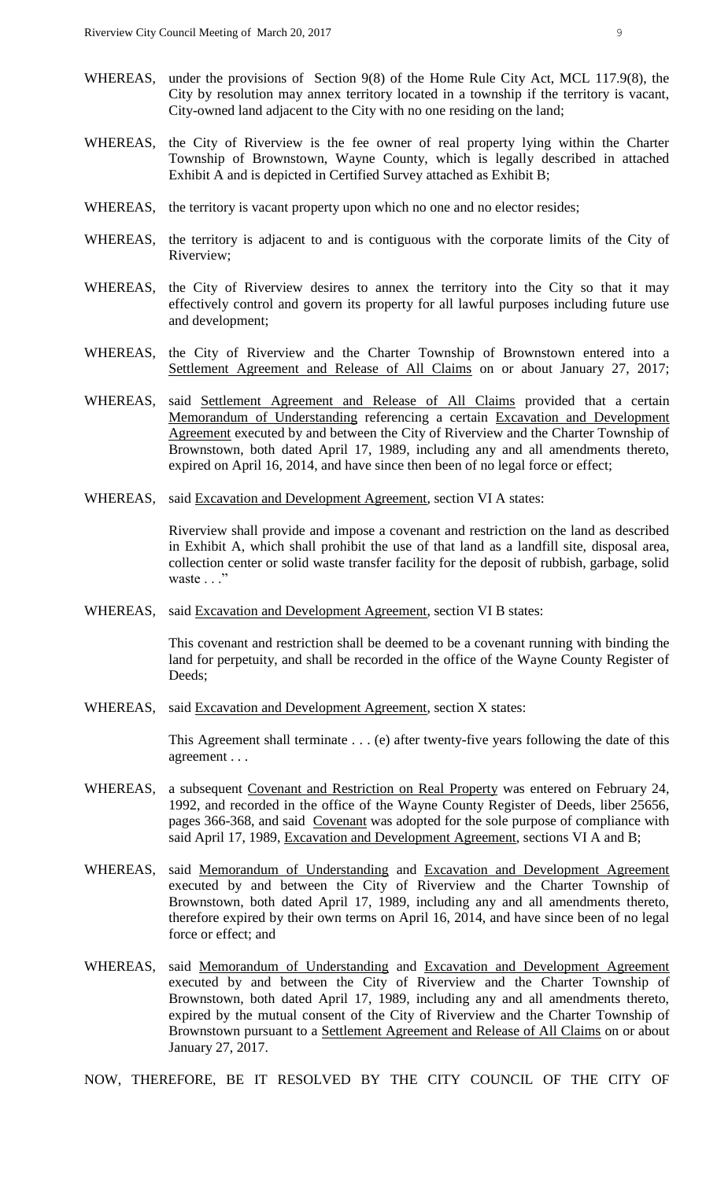- WHEREAS, under the provisions of Section 9(8) of the Home Rule City Act, MCL 117.9(8), the City by resolution may annex territory located in a township if the territory is vacant, City-owned land adjacent to the City with no one residing on the land;
- WHEREAS, the City of Riverview is the fee owner of real property lying within the Charter Township of Brownstown, Wayne County, which is legally described in attached Exhibit A and is depicted in Certified Survey attached as Exhibit B;
- WHEREAS, the territory is vacant property upon which no one and no elector resides;
- WHEREAS, the territory is adjacent to and is contiguous with the corporate limits of the City of Riverview;
- WHEREAS, the City of Riverview desires to annex the territory into the City so that it may effectively control and govern its property for all lawful purposes including future use and development;
- WHEREAS, the City of Riverview and the Charter Township of Brownstown entered into a Settlement Agreement and Release of All Claims on or about January 27, 2017;
- WHEREAS, said Settlement Agreement and Release of All Claims provided that a certain Memorandum of Understanding referencing a certain Excavation and Development Agreement executed by and between the City of Riverview and the Charter Township of Brownstown, both dated April 17, 1989, including any and all amendments thereto, expired on April 16, 2014, and have since then been of no legal force or effect;
- WHEREAS, said **Excavation and Development Agreement**, section VI A states:

Riverview shall provide and impose a covenant and restriction on the land as described in Exhibit A, which shall prohibit the use of that land as a landfill site, disposal area, collection center or solid waste transfer facility for the deposit of rubbish, garbage, solid waste . . ."

WHEREAS, said Excavation and Development Agreement, section VI B states:

This covenant and restriction shall be deemed to be a covenant running with binding the land for perpetuity, and shall be recorded in the office of the Wayne County Register of Deeds;

WHEREAS, said Excavation and Development Agreement, section X states:

This Agreement shall terminate . . . (e) after twenty-five years following the date of this agreement . . .

- WHEREAS, a subsequent Covenant and Restriction on Real Property was entered on February 24, 1992, and recorded in the office of the Wayne County Register of Deeds, liber 25656, pages 366-368, and said Covenant was adopted for the sole purpose of compliance with said April 17, 1989, Excavation and Development Agreement, sections VI A and B;
- WHEREAS, said Memorandum of Understanding and Excavation and Development Agreement executed by and between the City of Riverview and the Charter Township of Brownstown, both dated April 17, 1989, including any and all amendments thereto, therefore expired by their own terms on April 16, 2014, and have since been of no legal force or effect; and
- WHEREAS, said Memorandum of Understanding and Excavation and Development Agreement executed by and between the City of Riverview and the Charter Township of Brownstown, both dated April 17, 1989, including any and all amendments thereto, expired by the mutual consent of the City of Riverview and the Charter Township of Brownstown pursuant to a Settlement Agreement and Release of All Claims on or about January 27, 2017.

NOW, THEREFORE, BE IT RESOLVED BY THE CITY COUNCIL OF THE CITY OF